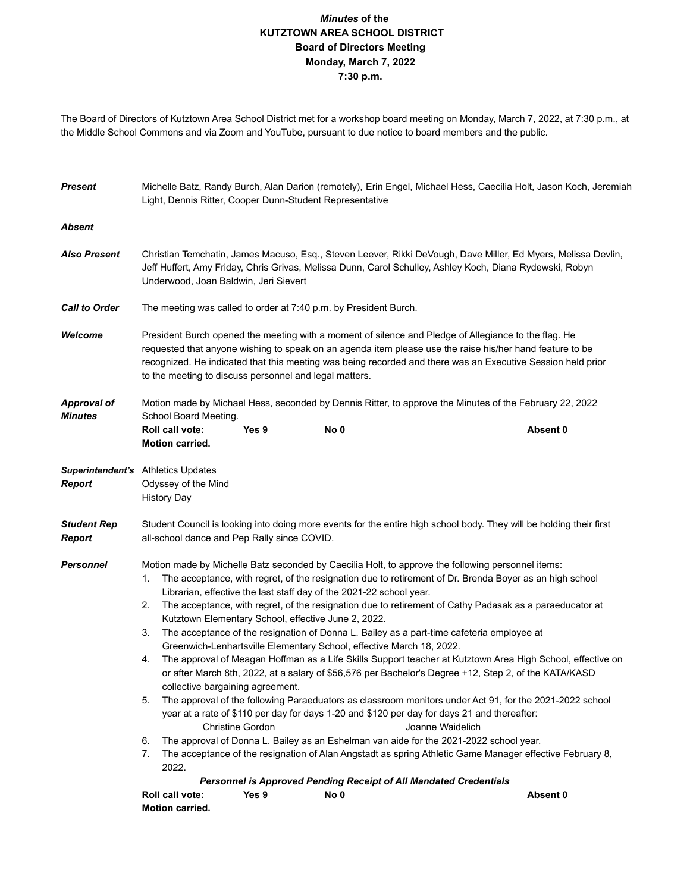## *Minutes* **of the KUTZTOWN AREA SCHOOL DISTRICT Board of Directors Meeting Monday, March 7, 2022 7:30 p.m.**

The Board of Directors of Kutztown Area School District met for a workshop board meeting on Monday, March 7, 2022, at 7:30 p.m., at the Middle School Commons and via Zoom and YouTube, pursuant to due notice to board members and the public.

| <b>Present</b>                       | Michelle Batz, Randy Burch, Alan Darion (remotely), Erin Engel, Michael Hess, Caecilia Holt, Jason Koch, Jeremiah<br>Light, Dennis Ritter, Cooper Dunn-Student Representative                                                                                                                                                                                                                                                                                                                                                                                                                                                                                                                                                                                                                                                                                                                                                                                                                                                                                                                                                                                                                                                                                                                                                                                                                                                                                                                                                       |       |      |          |  |  |  |  |
|--------------------------------------|-------------------------------------------------------------------------------------------------------------------------------------------------------------------------------------------------------------------------------------------------------------------------------------------------------------------------------------------------------------------------------------------------------------------------------------------------------------------------------------------------------------------------------------------------------------------------------------------------------------------------------------------------------------------------------------------------------------------------------------------------------------------------------------------------------------------------------------------------------------------------------------------------------------------------------------------------------------------------------------------------------------------------------------------------------------------------------------------------------------------------------------------------------------------------------------------------------------------------------------------------------------------------------------------------------------------------------------------------------------------------------------------------------------------------------------------------------------------------------------------------------------------------------------|-------|------|----------|--|--|--|--|
| <b>Absent</b>                        |                                                                                                                                                                                                                                                                                                                                                                                                                                                                                                                                                                                                                                                                                                                                                                                                                                                                                                                                                                                                                                                                                                                                                                                                                                                                                                                                                                                                                                                                                                                                     |       |      |          |  |  |  |  |
| <b>Also Present</b>                  | Christian Temchatin, James Macuso, Esq., Steven Leever, Rikki DeVough, Dave Miller, Ed Myers, Melissa Devlin,<br>Jeff Huffert, Amy Friday, Chris Grivas, Melissa Dunn, Carol Schulley, Ashley Koch, Diana Rydewski, Robyn<br>Underwood, Joan Baldwin, Jeri Sievert                                                                                                                                                                                                                                                                                                                                                                                                                                                                                                                                                                                                                                                                                                                                                                                                                                                                                                                                                                                                                                                                                                                                                                                                                                                                  |       |      |          |  |  |  |  |
| <b>Call to Order</b>                 | The meeting was called to order at 7:40 p.m. by President Burch.                                                                                                                                                                                                                                                                                                                                                                                                                                                                                                                                                                                                                                                                                                                                                                                                                                                                                                                                                                                                                                                                                                                                                                                                                                                                                                                                                                                                                                                                    |       |      |          |  |  |  |  |
| Welcome                              | President Burch opened the meeting with a moment of silence and Pledge of Allegiance to the flag. He<br>requested that anyone wishing to speak on an agenda item please use the raise his/her hand feature to be<br>recognized. He indicated that this meeting was being recorded and there was an Executive Session held prior<br>to the meeting to discuss personnel and legal matters.                                                                                                                                                                                                                                                                                                                                                                                                                                                                                                                                                                                                                                                                                                                                                                                                                                                                                                                                                                                                                                                                                                                                           |       |      |          |  |  |  |  |
| <b>Approval of</b><br><b>Minutes</b> | Motion made by Michael Hess, seconded by Dennis Ritter, to approve the Minutes of the February 22, 2022<br>School Board Meeting.                                                                                                                                                                                                                                                                                                                                                                                                                                                                                                                                                                                                                                                                                                                                                                                                                                                                                                                                                                                                                                                                                                                                                                                                                                                                                                                                                                                                    |       |      |          |  |  |  |  |
|                                      | Roll call vote:<br><b>Motion carried.</b>                                                                                                                                                                                                                                                                                                                                                                                                                                                                                                                                                                                                                                                                                                                                                                                                                                                                                                                                                                                                                                                                                                                                                                                                                                                                                                                                                                                                                                                                                           | Yes 9 | No 0 | Absent 0 |  |  |  |  |
| <b>Report</b>                        | Superintendent's Athletics Updates<br>Odyssey of the Mind<br><b>History Day</b>                                                                                                                                                                                                                                                                                                                                                                                                                                                                                                                                                                                                                                                                                                                                                                                                                                                                                                                                                                                                                                                                                                                                                                                                                                                                                                                                                                                                                                                     |       |      |          |  |  |  |  |
| <b>Student Rep</b><br><b>Report</b>  | Student Council is looking into doing more events for the entire high school body. They will be holding their first<br>all-school dance and Pep Rally since COVID.                                                                                                                                                                                                                                                                                                                                                                                                                                                                                                                                                                                                                                                                                                                                                                                                                                                                                                                                                                                                                                                                                                                                                                                                                                                                                                                                                                  |       |      |          |  |  |  |  |
| <b>Personnel</b>                     | Motion made by Michelle Batz seconded by Caecilia Holt, to approve the following personnel items:<br>The acceptance, with regret, of the resignation due to retirement of Dr. Brenda Boyer as an high school<br>1.<br>Librarian, effective the last staff day of the 2021-22 school year.<br>The acceptance, with regret, of the resignation due to retirement of Cathy Padasak as a paraeducator at<br>2.<br>Kutztown Elementary School, effective June 2, 2022.<br>The acceptance of the resignation of Donna L. Bailey as a part-time cafeteria employee at<br>3.<br>Greenwich-Lenhartsville Elementary School, effective March 18, 2022.<br>The approval of Meagan Hoffman as a Life Skills Support teacher at Kutztown Area High School, effective on<br>4.<br>or after March 8th, 2022, at a salary of \$56,576 per Bachelor's Degree +12, Step 2, of the KATA/KASD<br>collective bargaining agreement.<br>5.<br>The approval of the following Paraeduators as classroom monitors under Act 91, for the 2021-2022 school<br>year at a rate of \$110 per day for days 1-20 and \$120 per day for days 21 and thereafter:<br><b>Christine Gordon</b><br>Joanne Waidelich<br>The approval of Donna L. Bailey as an Eshelman van aide for the 2021-2022 school year.<br>6.<br>7.<br>The acceptance of the resignation of Alan Angstadt as spring Athletic Game Manager effective February 8,<br>2022.<br><b>Personnel is Approved Pending Receipt of All Mandated Credentials</b><br>Roll call vote:<br>Yes 9<br>Absent 0<br>No 0 |       |      |          |  |  |  |  |
|                                      | <b>Motion carried.</b>                                                                                                                                                                                                                                                                                                                                                                                                                                                                                                                                                                                                                                                                                                                                                                                                                                                                                                                                                                                                                                                                                                                                                                                                                                                                                                                                                                                                                                                                                                              |       |      |          |  |  |  |  |